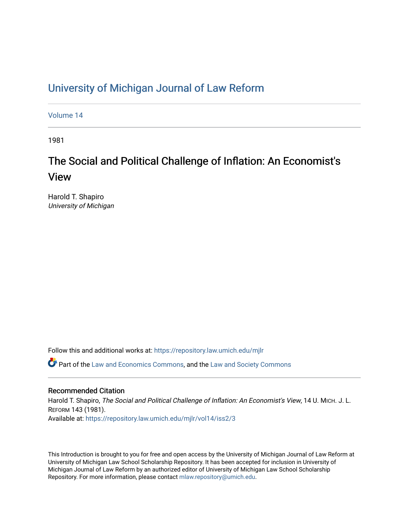## [University of Michigan Journal of Law Reform](https://repository.law.umich.edu/mjlr)

[Volume 14](https://repository.law.umich.edu/mjlr/vol14)

1981

## The Social and Political Challenge of Inflation: An Economist's View

Harold T. Shapiro University of Michigan

Follow this and additional works at: [https://repository.law.umich.edu/mjlr](https://repository.law.umich.edu/mjlr?utm_source=repository.law.umich.edu%2Fmjlr%2Fvol14%2Fiss2%2F3&utm_medium=PDF&utm_campaign=PDFCoverPages) 

 $\bullet$  Part of the [Law and Economics Commons](http://network.bepress.com/hgg/discipline/612?utm_source=repository.law.umich.edu%2Fmjlr%2Fvol14%2Fiss2%2F3&utm_medium=PDF&utm_campaign=PDFCoverPages), and the [Law and Society Commons](http://network.bepress.com/hgg/discipline/853?utm_source=repository.law.umich.edu%2Fmjlr%2Fvol14%2Fiss2%2F3&utm_medium=PDF&utm_campaign=PDFCoverPages)

## Recommended Citation

Harold T. Shapiro, The Social and Political Challenge of Inflation: An Economist's View, 14 U. MICH. J. L. REFORM 143 (1981). Available at: [https://repository.law.umich.edu/mjlr/vol14/iss2/3](https://repository.law.umich.edu/mjlr/vol14/iss2/3?utm_source=repository.law.umich.edu%2Fmjlr%2Fvol14%2Fiss2%2F3&utm_medium=PDF&utm_campaign=PDFCoverPages) 

This Introduction is brought to you for free and open access by the University of Michigan Journal of Law Reform at University of Michigan Law School Scholarship Repository. It has been accepted for inclusion in University of Michigan Journal of Law Reform by an authorized editor of University of Michigan Law School Scholarship Repository. For more information, please contact [mlaw.repository@umich.edu](mailto:mlaw.repository@umich.edu).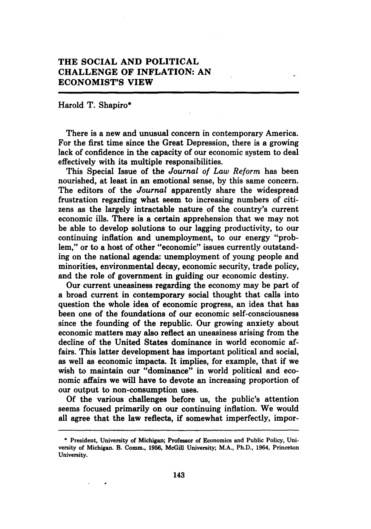## **THE SOCIAL AND POLITICAL CHALLENGE OF INFLATION: AN ECONOMIST'S VIEW**

Harold T. Shapiro\*

There is a new and unusual concern in contemporary America. For the first time since the Great Depression, there is a growing lack of confidence in the capacity of our economic system to deal effectively with its multiple responsibilities.

This Special Issue of the *Journal of Law Reform* has been nourished, at least in an emotional sense, by this same concern. The editors of the *Journal* apparently share the widespread frustration regarding what seem to increasing numbers of citizens as the largely intractable nature of the country's current economic ills. There is a certain apprehension that we may not be able to develop solutions to our lagging productivity, to our continuing inflation and unemployment, to our energy "problem," or to a host of other "economic" issues currently outstanding on the national agenda: unemployment of young people and minorities, environmental decay, economic security, trade policy, and the role of government in guiding our economic destiny.

Our current uneasiness regarding the economy may be part of a broad current in contemporary social thought that calls into question the whole idea of economic progress, an idea that has been one of the foundations of our economic self-consciousness since the founding of the republic. Our growing anxiety about economic matters may also reflect an uneasiness arising from the decline of the United States dominance in world economic affairs. This latter development has important political and social, as well as economic impacts. It implies, for example, that if we wish to maintain our "dominance" in world political and economic affairs we will have to devote an increasing proportion of our output to non-consumption uses.

Of the various challenges before us, the public's attention seems focused primarily on our continuing inflation. We would all agree that the law reflects, if somewhat imperfectly, impor-

<sup>•</sup> President, University of Michigan; Professor of Economics and Public Policy, University of Michigan. B. Comm., 1956, McGill University; M.A., Ph.D., 1964, Princeton University.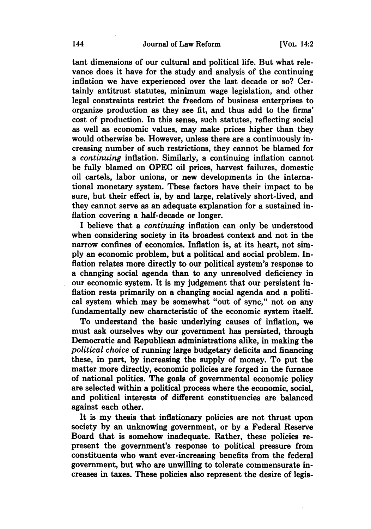tant dimensions of our cultural and political life. But what relevance does it have for the study and analysis of the continuing inflation we have experienced over the last decade or so? Certainly antitrust statutes, minimum wage legislation, and other legal constraints restrict the freedom of business enterprises to organize production as they see fit, and thus add to the firms' cost of production. In this sense, such statutes, reflecting social as well as economic values, may make prices higher than they would otherwise be. However, unless there are a continuously increasing number of such restrictions, they cannot be blamed for a *continuing* inflation. Similarly, a continuing inflation cannot be fully blamed on OPEC oil prices, harvest failures, domestic oil cartels, labor unions, or new developments in the international monetary system. These factors have their impact to be sure, but their effect is, by and large, relatively short-lived, and they cannot serve as an adequate explanation for a sustained inflation covering a half-decade or longer.

I believe that a *continuing* inflation can only be understood when considering society in its broadest context and not in the narrow confines of economics. Inflation is, at its heart, not simply an economic problem, but a political and social problem. Inflation relates more directly to our political system's response to a changing social agenda than to any unresolved deficiency in our economic system. It is my judgement that our persistent inflation rests primarily on a changing social agenda and a political system which may be somewhat "out of sync," not on any fundamentally new characteristic of the economic system itself.

To understand the basic underlying causes of inflation, we must ask ourselves why our government has persisted, through Democratic and Republican administrations alike, in making the *political choice* of running large budgetary deficits and financing these, in part, by increasing the supply of money. To put the matter more directly, economic policies are forged in the furnace of national politics. The goals of governmental economic policy are selected within a political process where the economic, social, and political interests of different constituencies are balanced against each other.

It is my thesis that inflationary policies are not thrust upon society by an unknowing government, or by a Federal Reserve Board that is somehow inadequate. Rather, these policies represent the government's response to political pressure from constituents who want ever-increasing benefits from the federal government, but who are unwilling to tolerate commensurate increases in taxes. These policies also represent the desire of legis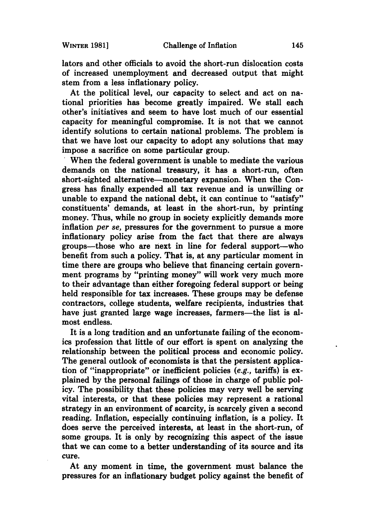lators and other officials to avoid the short-run dislocation costs of increased unemployment and decreased output that might stem from a less inflationary policy.

At the political level, our capacity to select and act on national priorities has become greatly impaired. We stall each other's initiatives and seem to have lost much of our essential capacity for meaningful compromise. It is not that we cannot identify solutions to certain national problems. The problem is that we have lost our capacity to adopt any solutions that may impose a sacrifice on some particular group.

When the federal government is unable to mediate the various demands on the national treasury, it has a short-run, often short-sighted alternative—monetary expansion. When the Congress has finally expended all tax revenue and is unwilling or unable to expand the national debt, it can continue to "satisfy" constituents' demands, at least in the short-run, by printing money. Thus, while no group in society explicitly demands more inflation *per se,* pressures for the government to pursue a more inflationary policy arise from the fact that there are always groups—those who are next in line for federal support—who benefit from such a policy. That is, at any particular moment in time there are groups who believe that financing certain government programs by "printing money" will work very much more to their advantage than either foregoing federal support or being held responsible for tax increases. These groups may be defense contractors, college students, welfare recipients, industries that have just granted large wage increases, farmers—the list is almost endless.

It is a long tradition and an unfortunate failing of the economics profession that little of our effort is spent on analyzing the relationship between the political process and economic policy. The general outlook of economists is that the persistent application of "inappropriate" or inefficient policies (e.g., tariffs) is explained by the personal failings of those in charge of public policy. The possibility that these policies may very well be serving vital interests, or that these policies may represent a rational strategy in an environment of scarcity, is scarcely given a second reading. Inflation, especially continuing inflation, is a policy. It does serve the perceived interests, at least in the short-run, of some groups. It is only by recognizing this aspect of the issue that we can come to a better understanding of its source and its cure.

At any moment in time, the government must balance the pressures for an inflationary budget policy against the benefit of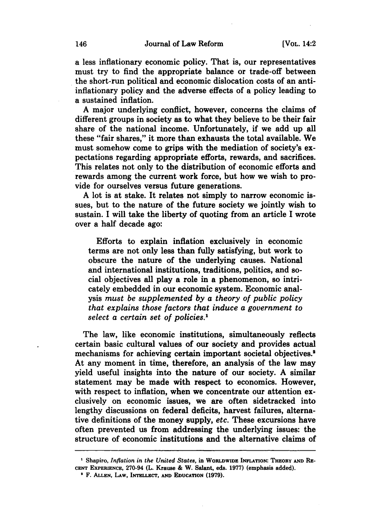a less inflationary economic policy. That is, our representatives must try to find the appropriate balance or trade-off between the short-run political and economic dislocation costs of an antiinflationary policy and the adverse effects of a policy leading to a sustained inflation.

A major underlying conflict, however, concerns the claims of different groups in society as to what they believe to be their fair share of the national income. Unfortunately, if we add up all these "fair shares," it more than exhausts the total available. We must somehow come to grips with the mediation of society's expectations regarding appropriate efforts, rewards, and sacrifices. This relates not only to the distribution of economic efforts and rewards among the current work force, but how we wish to provide for ourselves versus future generations.

A lot is at stake. It relates not simply to narrow economic issues, but to the nature of the future society we jointly wish to sustain. I will take the liberty of quoting from an article I wrote over a half decade ago:

Efforts to explain inflation exclusively in economic terms are not only less than fully satisfying, but work to obscure the nature of the underlying causes. National and international institutions, traditions, politics, and social objectives all play a role in a phenomenon, so intricately embedded in our economic system. Economic analysis *must be supplemented by a theory of public policy that explains those factors that induce a government to select a certain set of policies. <sup>1</sup>*

The law, like economic institutions, simultaneously reflects certain basic cultural values of our society and provides actual mechanisms for achieving certain important societal objectives.<sup>2</sup> At any moment in time, therefore, an analysis of the law may yield useful insights into the nature of our society. A similar statement may be made with respect to economics. However, with respect to inflation, when we concentrate our attention exclusively on economic issues, we are often sidetracked into lengthy discussions on federal deficits, harvest failures, alternative definitions of the money supply, *etc.* These excursions have often prevented us from addressing the underlying issues: the structure of economic institutions and the alternative claims of

<sup>&#</sup>x27; Shapiro, *Inflation in the United States,* in WORLDWIDE INFLATION: THEORY AND RE-CENT EXPERIENCE, 270-94 (L. Krause & W. Salant, eds. 1977) (emphasis added).<br><sup>2</sup> F. Allen, LAW, INTELLECT, AND EDUCATION (1979).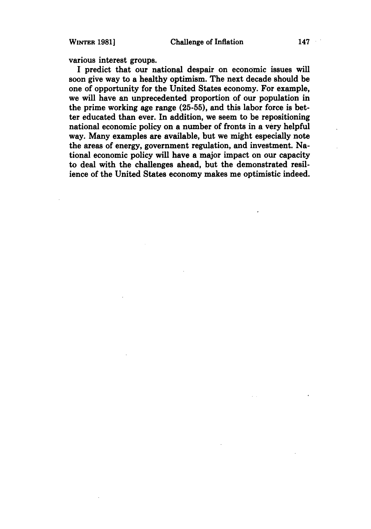various interest groups.

I predict that our national despair on economic issues will soon give way to a healthy optimism. The next decade should be one of opportunity for the United States economy. For example, we will have an unprecedented proportion of our population in the prime working age range (25-55), and this labor force is better educated than ever. In addition, we seem to be repositioning national economic policy on a number of fronts in a very helpful way. Many examples are available, but we might especially note the areas of energy, government regulation, and investment. National economic policy will have a major impact on our capacity to deal with the challenges ahead, but the demonstrated resilience of the United States economy makes me optimistic indeed.